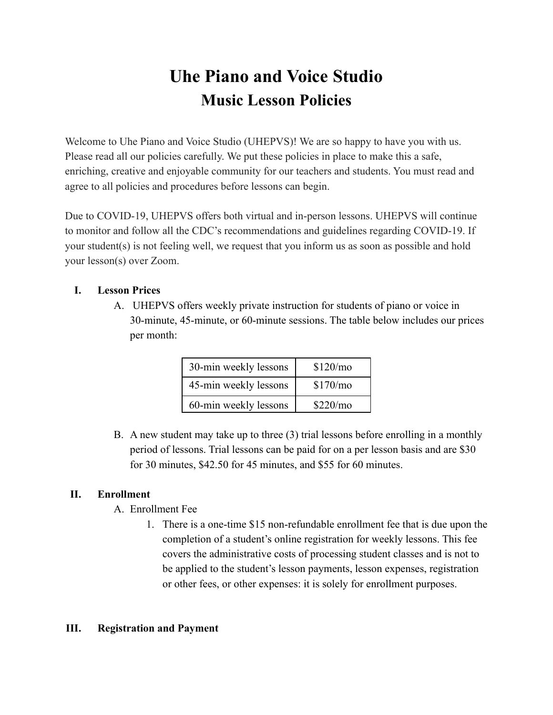# **Uhe Piano and Voice Studio Music Lesson Policies**

Welcome to Uhe Piano and Voice Studio (UHEPVS)! We are so happy to have you with us. Please read all our policies carefully. We put these policies in place to make this a safe, enriching, creative and enjoyable community for our teachers and students. You must read and agree to all policies and procedures before lessons can begin.

Due to COVID-19, UHEPVS offers both virtual and in-person lessons. UHEPVS will continue to monitor and follow all the CDC's recommendations and guidelines regarding COVID-19. If your student(s) is not feeling well, we request that you inform us as soon as possible and hold your lesson(s) over Zoom.

# **I. Lesson Prices**

A. UHEPVS offers weekly private instruction for students of piano or voice in 30-minute, 45-minute, or 60-minute sessions. The table below includes our prices per month:

| 30-min weekly lessons | \$120/mo |
|-----------------------|----------|
| 45-min weekly lessons | \$170/mo |
| 60-min weekly lessons | \$220/mo |

B. A new student may take up to three (3) trial lessons before enrolling in a monthly period of lessons. Trial lessons can be paid for on a per lesson basis and are \$30 for 30 minutes, \$42.50 for 45 minutes, and \$55 for 60 minutes.

## **II. Enrollment**

- A. Enrollment Fee
	- 1. There is a one-time \$15 non-refundable enrollment fee that is due upon the completion of a student's online registration for weekly lessons. This fee covers the administrative costs of processing student classes and is not to be applied to the student's lesson payments, lesson expenses, registration or other fees, or other expenses: it is solely for enrollment purposes.

## **III. Registration and Payment**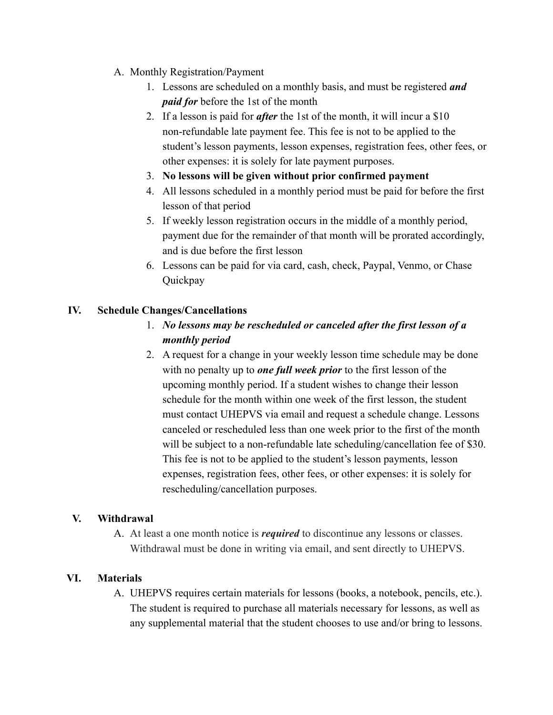- A. Monthly Registration/Payment
	- 1. Lessons are scheduled on a monthly basis, and must be registered *and paid for* before the 1st of the month
	- 2. If a lesson is paid for *after* the 1st of the month, it will incur a \$10 non-refundable late payment fee. This fee is not to be applied to the student's lesson payments, lesson expenses, registration fees, other fees, or other expenses: it is solely for late payment purposes.
	- 3. **No lessons will be given without prior confirmed payment**
	- 4. All lessons scheduled in a monthly period must be paid for before the first lesson of that period
	- 5. If weekly lesson registration occurs in the middle of a monthly period, payment due for the remainder of that month will be prorated accordingly, and is due before the first lesson
	- 6. Lessons can be paid for via card, cash, check, Paypal, Venmo, or Chase **Ouickpay**

# **IV. Schedule Changes/Cancellations**

- 1. *No lessons may be rescheduled or canceled after the first lesson of a monthly period*
- 2. A request for a change in your weekly lesson time schedule may be done with no penalty up to *one full week prior* to the first lesson of the upcoming monthly period. If a student wishes to change their lesson schedule for the month within one week of the first lesson, the student must contact UHEPVS via email and request a schedule change. Lessons canceled or rescheduled less than one week prior to the first of the month will be subject to a non-refundable late scheduling/cancellation fee of \$30. This fee is not to be applied to the student's lesson payments, lesson expenses, registration fees, other fees, or other expenses: it is solely for rescheduling/cancellation purposes.

## **V. Withdrawal**

A. At least a one month notice is *required* to discontinue any lessons or classes. Withdrawal must be done in writing via email, and sent directly to UHEPVS.

# **VI. Materials**

A. UHEPVS requires certain materials for lessons (books, a notebook, pencils, etc.). The student is required to purchase all materials necessary for lessons, as well as any supplemental material that the student chooses to use and/or bring to lessons.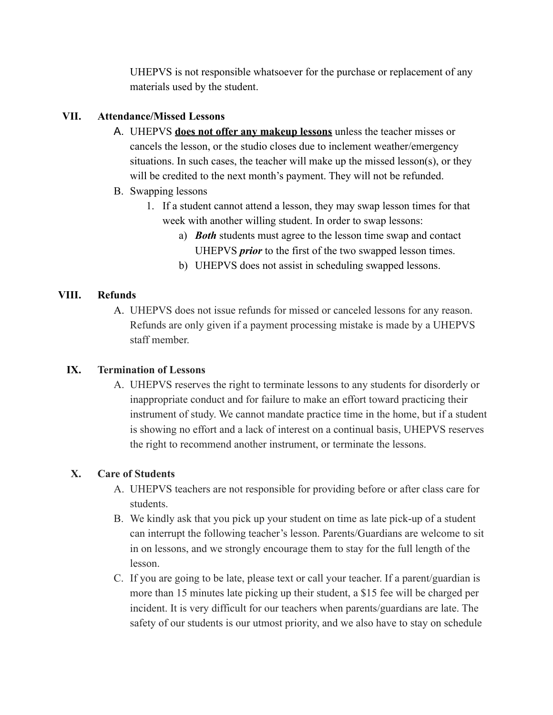UHEPVS is not responsible whatsoever for the purchase or replacement of any materials used by the student.

## **VII. Attendance/Missed Lessons**

- A. UHEPVS **does not offer any makeup lessons** unless the teacher misses or cancels the lesson, or the studio closes due to inclement weather/emergency situations. In such cases, the teacher will make up the missed lesson(s), or they will be credited to the next month's payment. They will not be refunded.
- B. Swapping lessons
	- 1. If a student cannot attend a lesson, they may swap lesson times for that week with another willing student. In order to swap lessons:
		- a) *Both* students must agree to the lesson time swap and contact UHEPVS *prior* to the first of the two swapped lesson times.
		- b) UHEPVS does not assist in scheduling swapped lessons.

## **VIII. Refunds**

A. UHEPVS does not issue refunds for missed or canceled lessons for any reason. Refunds are only given if a payment processing mistake is made by a UHEPVS staff member.

## **IX. Termination of Lessons**

A. UHEPVS reserves the right to terminate lessons to any students for disorderly or inappropriate conduct and for failure to make an effort toward practicing their instrument of study. We cannot mandate practice time in the home, but if a student is showing no effort and a lack of interest on a continual basis, UHEPVS reserves the right to recommend another instrument, or terminate the lessons.

## **X. Care of Students**

- A. UHEPVS teachers are not responsible for providing before or after class care for students.
- B. We kindly ask that you pick up your student on time as late pick-up of a student can interrupt the following teacher's lesson. Parents/Guardians are welcome to sit in on lessons, and we strongly encourage them to stay for the full length of the lesson.
- C. If you are going to be late, please text or call your teacher. If a parent/guardian is more than 15 minutes late picking up their student, a \$15 fee will be charged per incident. It is very difficult for our teachers when parents/guardians are late. The safety of our students is our utmost priority, and we also have to stay on schedule